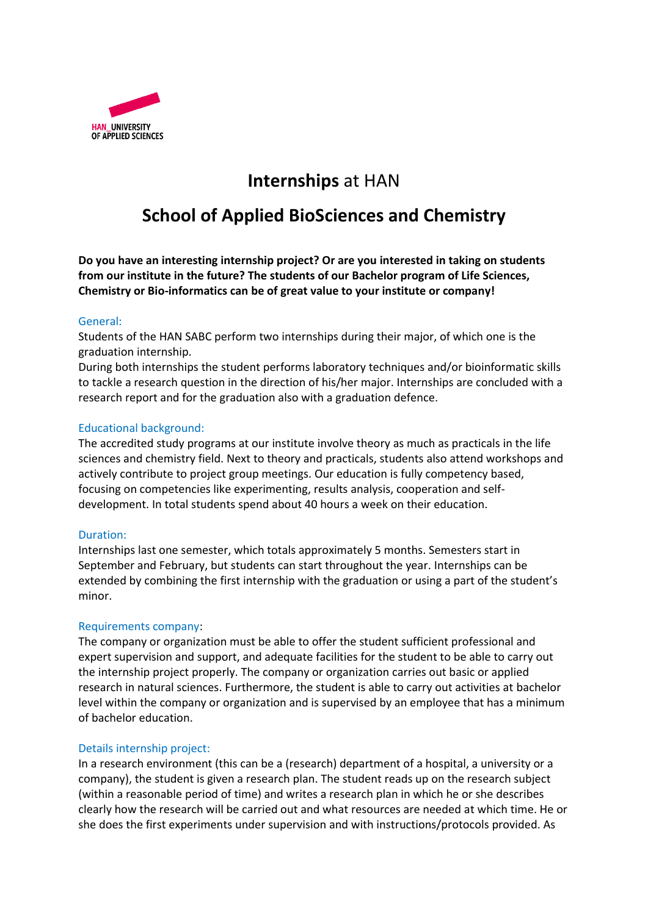

# **Internships** at HAN

## **School of Applied BioSciences and Chemistry**

**Do you have an interesting internship project? Or are you interested in taking on students from our institute in the future? The students of our Bachelor program of Life Sciences, Chemistry or Bio-informatics can be of great value to your institute or company!** 

## General:

Students of the HAN SABC perform two internships during their major, of which one is the graduation internship.

During both internships the student performs laboratory techniques and/or bioinformatic skills to tackle a research question in the direction of his/her major. Internships are concluded with a research report and for the graduation also with a graduation defence.

## Educational background:

The accredited study programs at our institute involve theory as much as practicals in the life sciences and chemistry field. Next to theory and practicals, students also attend workshops and actively contribute to project group meetings. Our education is fully competency based, focusing on competencies like experimenting, results analysis, cooperation and selfdevelopment. In total students spend about 40 hours a week on their education.

#### Duration:

Internships last one semester, which totals approximately 5 months. Semesters start in September and February, but students can start throughout the year. Internships can be extended by combining the first internship with the graduation or using a part of the student's minor.

#### Requirements company:

The company or organization must be able to offer the student sufficient professional and expert supervision and support, and adequate facilities for the student to be able to carry out the internship project properly. The company or organization carries out basic or applied research in natural sciences. Furthermore, the student is able to carry out activities at bachelor level within the company or organization and is supervised by an employee that has a minimum of bachelor education.

#### Details internship project:

In a research environment (this can be a (research) department of a hospital, a university or a company), the student is given a research plan. The student reads up on the research subject (within a reasonable period of time) and writes a research plan in which he or she describes clearly how the research will be carried out and what resources are needed at which time. He or she does the first experiments under supervision and with instructions/protocols provided. As